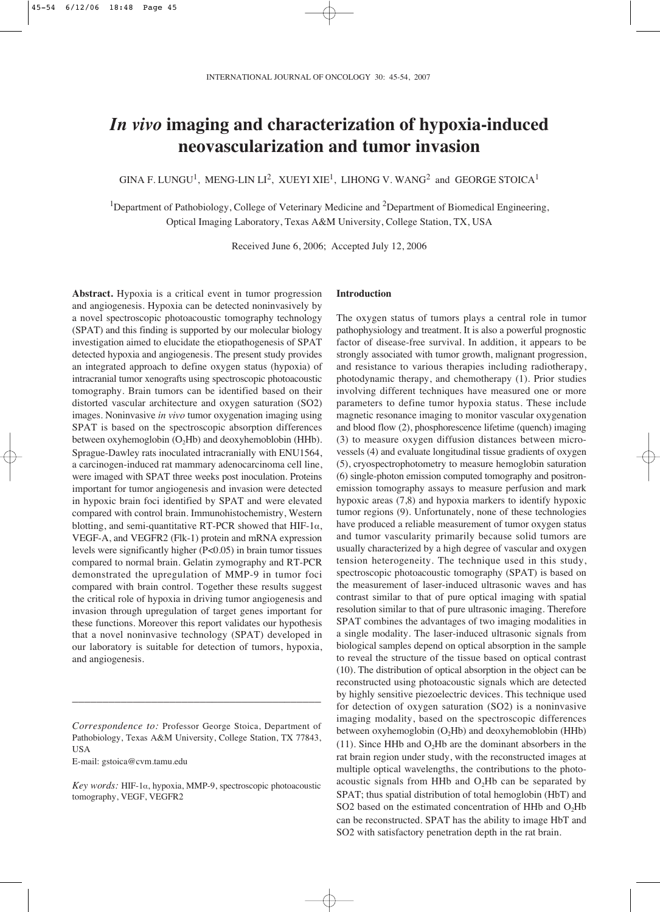# *In vivo* **imaging and characterization of hypoxia-induced neovascularization and tumor invasion**

GINA F. LUNGU<sup>1</sup>, MENG-LIN LI<sup>2</sup>, XUEYI XIE<sup>1</sup>, LIHONG V. WANG<sup>2</sup> and GEORGE STOICA<sup>1</sup>

<sup>1</sup>Department of Pathobiology, College of Veterinary Medicine and <sup>2</sup>Department of Biomedical Engineering, Optical Imaging Laboratory, Texas A&M University, College Station, TX, USA

Received June 6, 2006; Accepted July 12, 2006

**Abstract.** Hypoxia is a critical event in tumor progression and angiogenesis. Hypoxia can be detected noninvasively by a novel spectroscopic photoacoustic tomography technology (SPAT) and this finding is supported by our molecular biology investigation aimed to elucidate the etiopathogenesis of SPAT detected hypoxia and angiogenesis. The present study provides an integrated approach to define oxygen status (hypoxia) of intracranial tumor xenografts using spectroscopic photoacoustic tomography. Brain tumors can be identified based on their distorted vascular architecture and oxygen saturation (SO2) images. Noninvasive *in vivo* tumor oxygenation imaging using SPAT is based on the spectroscopic absorption differences between oxyhemoglobin  $(O<sub>2</sub>Hb)$  and deoxyhemoblobin (HHb). Sprague-Dawley rats inoculated intracranially with ENU1564, a carcinogen-induced rat mammary adenocarcinoma cell line, were imaged with SPAT three weeks post inoculation. Proteins important for tumor angiogenesis and invasion were detected in hypoxic brain foci identified by SPAT and were elevated compared with control brain. Immunohistochemistry, Western blotting, and semi-quantitative RT-PCR showed that HIF-1 $\alpha$ , VEGF-A, and VEGFR2 (Flk-1) protein and mRNA expression levels were significantly higher (P<0.05) in brain tumor tissues compared to normal brain. Gelatin zymography and RT-PCR demonstrated the upregulation of MMP-9 in tumor foci compared with brain control. Together these results suggest the critical role of hypoxia in driving tumor angiogenesis and invasion through upregulation of target genes important for these functions. Moreover this report validates our hypothesis that a novel noninvasive technology (SPAT) developed in our laboratory is suitable for detection of tumors, hypoxia, and angiogenesis.

\_\_\_\_\_\_\_\_\_\_\_\_\_\_\_\_\_\_\_\_\_\_\_\_\_\_\_\_\_\_\_\_\_\_\_\_\_\_\_\_\_

E-mail: gstoica@cvm.tamu.edu

# **Introduction**

The oxygen status of tumors plays a central role in tumor pathophysiology and treatment. It is also a powerful prognostic factor of disease-free survival. In addition, it appears to be strongly associated with tumor growth, malignant progression, and resistance to various therapies including radiotherapy, photodynamic therapy, and chemotherapy (1). Prior studies involving different techniques have measured one or more parameters to define tumor hypoxia status. These include magnetic resonance imaging to monitor vascular oxygenation and blood flow (2), phosphorescence lifetime (quench) imaging (3) to measure oxygen diffusion distances between microvessels (4) and evaluate longitudinal tissue gradients of oxygen (5), cryospectrophotometry to measure hemoglobin saturation (6) single-photon emission computed tomography and positronemission tomography assays to measure perfusion and mark hypoxic areas (7,8) and hypoxia markers to identify hypoxic tumor regions (9). Unfortunately, none of these technologies have produced a reliable measurement of tumor oxygen status and tumor vascularity primarily because solid tumors are usually characterized by a high degree of vascular and oxygen tension heterogeneity. The technique used in this study, spectroscopic photoacoustic tomography (SPAT) is based on the measurement of laser-induced ultrasonic waves and has contrast similar to that of pure optical imaging with spatial resolution similar to that of pure ultrasonic imaging. Therefore SPAT combines the advantages of two imaging modalities in a single modality. The laser-induced ultrasonic signals from biological samples depend on optical absorption in the sample to reveal the structure of the tissue based on optical contrast (10). The distribution of optical absorption in the object can be reconstructed using photoacoustic signals which are detected by highly sensitive piezoelectric devices. This technique used for detection of oxygen saturation (SO2) is a noninvasive imaging modality, based on the spectroscopic differences between oxyhemoglobin  $(O_2Hb)$  and deoxyhemoblobin (HHb) (11). Since HHb and  $O<sub>2</sub>$ Hb are the dominant absorbers in the rat brain region under study, with the reconstructed images at multiple optical wavelengths, the contributions to the photoacoustic signals from HHb and  $O<sub>2</sub>$ Hb can be separated by SPAT; thus spatial distribution of total hemoglobin (HbT) and SO2 based on the estimated concentration of HHb and  $O<sub>2</sub>Hb$ can be reconstructed. SPAT has the ability to image HbT and SO2 with satisfactory penetration depth in the rat brain.

*Correspondence to:* Professor George Stoica, Department of Pathobiology, Texas A&M University, College Station, TX 77843, USA

Key words: HIF-1a, hypoxia, MMP-9, spectroscopic photoacoustic tomography, VEGF, VEGFR2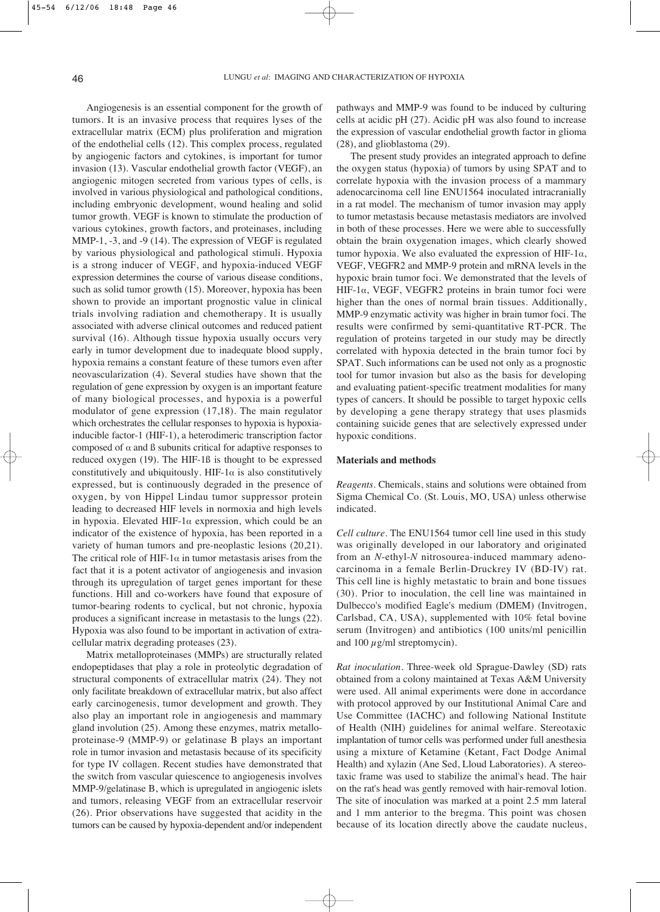Angiogenesis is an essential component for the growth of tumors. It is an invasive process that requires lyses of the extracellular matrix (ECM) plus proliferation and migration of the endothelial cells (12). This complex process, regulated by angiogenic factors and cytokines, is important for tumor invasion (13). Vascular endothelial growth factor (VEGF), an angiogenic mitogen secreted from various types of cells, is involved in various physiological and pathological conditions, including embryonic development, wound healing and solid tumor growth. VEGF is known to stimulate the production of various cytokines, growth factors, and proteinases, including MMP-1, -3, and -9 (14). The expression of VEGF is regulated by various physiological and pathological stimuli. Hypoxia is a strong inducer of VEGF, and hypoxia-induced VEGF expression determines the course of various disease conditions, such as solid tumor growth (15). Moreover, hypoxia has been shown to provide an important prognostic value in clinical trials involving radiation and chemotherapy. It is usually associated with adverse clinical outcomes and reduced patient survival (16). Although tissue hypoxia usually occurs very early in tumor development due to inadequate blood supply, hypoxia remains a constant feature of these tumors even after neovascularization (4). Several studies have shown that the regulation of gene expression by oxygen is an important feature of many biological processes, and hypoxia is a powerful modulator of gene expression (17,18). The main regulator which orchestrates the cellular responses to hypoxia is hypoxiainducible factor-1 (HIF-1), a heterodimeric transcription factor composed of  $\alpha$  and  $\beta$  subunits critical for adaptive responses to reduced oxygen (19). The HIF-1ß is thought to be expressed constitutively and ubiquitously. HIF-1 $\alpha$  is also constitutively expressed, but is continuously degraded in the presence of oxygen, by von Hippel Lindau tumor suppressor protein leading to decreased HIF levels in normoxia and high levels in hypoxia. Elevated HIF-1 $\alpha$  expression, which could be an indicator of the existence of hypoxia, has been reported in a variety of human tumors and pre-neoplastic lesions (20,21). The critical role of HIF-1 $\alpha$  in tumor metastasis arises from the fact that it is a potent activator of angiogenesis and invasion through its upregulation of target genes important for these functions. Hill and co-workers have found that exposure of tumor-bearing rodents to cyclical, but not chronic, hypoxia produces a significant increase in metastasis to the lungs (22). Hypoxia was also found to be important in activation of extracellular matrix degrading proteases (23).

Matrix metalloproteinases (MMPs) are structurally related endopeptidases that play a role in proteolytic degradation of structural components of extracellular matrix (24). They not only facilitate breakdown of extracellular matrix, but also affect early carcinogenesis, tumor development and growth. They also play an important role in angiogenesis and mammary gland involution (25). Among these enzymes, matrix metalloproteinase-9 (MMP-9) or gelatinase B plays an important role in tumor invasion and metastasis because of its specificity for type IV collagen. Recent studies have demonstrated that the switch from vascular quiescence to angiogenesis involves MMP-9/gelatinase B, which is upregulated in angiogenic islets and tumors, releasing VEGF from an extracellular reservoir (26). Prior observations have suggested that acidity in the tumors can be caused by hypoxia-dependent and/or independent pathways and MMP-9 was found to be induced by culturing cells at acidic pH (27). Acidic pH was also found to increase the expression of vascular endothelial growth factor in glioma (28), and glioblastoma (29).

The present study provides an integrated approach to define the oxygen status (hypoxia) of tumors by using SPAT and to correlate hypoxia with the invasion process of a mammary adenocarcinoma cell line ENU1564 inoculated intracranially in a rat model. The mechanism of tumor invasion may apply to tumor metastasis because metastasis mediators are involved in both of these processes. Here we were able to successfully obtain the brain oxygenation images, which clearly showed tumor hypoxia. We also evaluated the expression of HIF-1 $\alpha$ , VEGF, VEGFR2 and MMP-9 protein and mRNA levels in the hypoxic brain tumor foci. We demonstrated that the levels of HIF-1 $\alpha$ , VEGF, VEGFR2 proteins in brain tumor foci were higher than the ones of normal brain tissues. Additionally, MMP-9 enzymatic activity was higher in brain tumor foci. The results were confirmed by semi-quantitative RT-PCR. The regulation of proteins targeted in our study may be directly correlated with hypoxia detected in the brain tumor foci by SPAT. Such informations can be used not only as a prognostic tool for tumor invasion but also as the basis for developing and evaluating patient-specific treatment modalities for many types of cancers. It should be possible to target hypoxic cells by developing a gene therapy strategy that uses plasmids containing suicide genes that are selectively expressed under hypoxic conditions.

## **Materials and methods**

*Reagents.* Chemicals, stains and solutions were obtained from Sigma Chemical Co. (St. Louis, MO, USA) unless otherwise indicated.

*Cell culture.* The ENU1564 tumor cell line used in this study was originally developed in our laboratory and originated from an *N*-ethyl-*N* nitrosourea-induced mammary adenocarcinoma in a female Berlin-Druckrey IV (BD-IV) rat. This cell line is highly metastatic to brain and bone tissues (30). Prior to inoculation, the cell line was maintained in Dulbecco's modified Eagle's medium (DMEM) (Invitrogen, Carlsbad, CA, USA), supplemented with 10% fetal bovine serum (Invitrogen) and antibiotics (100 units/ml penicillin and 100  $\mu$ g/ml streptomycin).

*Rat inoculation.* Three-week old Sprague-Dawley (SD) rats obtained from a colony maintained at Texas A&M University were used. All animal experiments were done in accordance with protocol approved by our Institutional Animal Care and Use Committee (IACHC) and following National Institute of Health (NIH) guidelines for animal welfare. Stereotaxic implantation of tumor cells was performed under full anesthesia using a mixture of Ketamine (Ketant, Fact Dodge Animal Health) and xylazin (Ane Sed, Lloud Laboratories). A stereotaxic frame was used to stabilize the animal's head. The hair on the rat's head was gently removed with hair-removal lotion. The site of inoculation was marked at a point 2.5 mm lateral and 1 mm anterior to the bregma. This point was chosen because of its location directly above the caudate nucleus,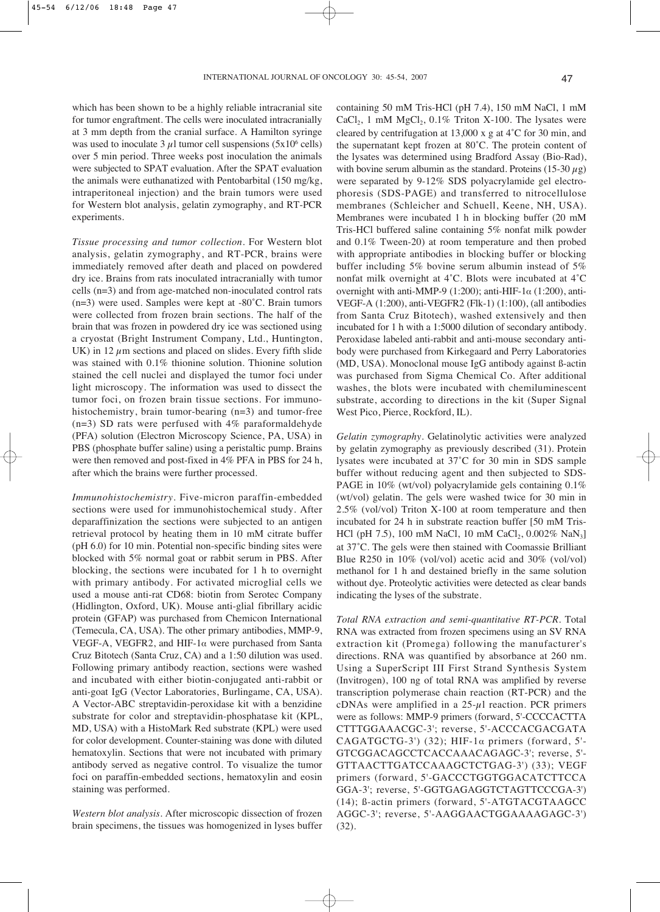which has been shown to be a highly reliable intracranial site for tumor engraftment. The cells were inoculated intracranially at 3 mm depth from the cranial surface. A Hamilton syringe was used to inoculate 3  $\mu$ l tumor cell suspensions (5x10<sup>6</sup> cells) over 5 min period. Three weeks post inoculation the animals were subjected to SPAT evaluation. After the SPAT evaluation the animals were euthanatized with Pentobarbital (150 mg/kg, intraperitoneal injection) and the brain tumors were used for Western blot analysis, gelatin zymography, and RT-PCR experiments.

*Tissue processing and tumor collection.* For Western blot analysis, gelatin zymography, and RT-PCR, brains were immediately removed after death and placed on powdered dry ice. Brains from rats inoculated intracranially with tumor cells (n=3) and from age-matched non-inoculated control rats (n=3) were used. Samples were kept at -80˚C. Brain tumors were collected from frozen brain sections. The half of the brain that was frozen in powdered dry ice was sectioned using a cryostat (Bright Instrument Company, Ltd., Huntington, UK) in 12  $\mu$ m sections and placed on slides. Every fifth slide was stained with 0.1% thionine solution. Thionine solution stained the cell nuclei and displayed the tumor foci under light microscopy. The information was used to dissect the tumor foci, on frozen brain tissue sections. For immunohistochemistry, brain tumor-bearing (n=3) and tumor-free  $(n=3)$  SD rats were perfused with 4% paraformaldehyde (PFA) solution (Electron Microscopy Science, PA, USA) in PBS (phosphate buffer saline) using a peristaltic pump. Brains were then removed and post-fixed in 4% PFA in PBS for 24 h, after which the brains were further processed.

*Immunohistochemistry.* Five-micron paraffin-embedded sections were used for immunohistochemical study. After deparaffinization the sections were subjected to an antigen retrieval protocol by heating them in 10 mM citrate buffer (pH 6.0) for 10 min. Potential non-specific binding sites were blocked with 5% normal goat or rabbit serum in PBS. After blocking, the sections were incubated for 1 h to overnight with primary antibody. For activated microglial cells we used a mouse anti-rat CD68: biotin from Serotec Company (Hidlington, Oxford, UK). Mouse anti-glial fibrillary acidic protein (GFAP) was purchased from Chemicon International (Temecula, CA, USA). The other primary antibodies, MMP-9, VEGF-A, VEGFR2, and HIF-1 $\alpha$  were purchased from Santa Cruz Bitotech (Santa Cruz, CA) and a 1:50 dilution was used. Following primary antibody reaction, sections were washed and incubated with either biotin-conjugated anti-rabbit or anti-goat IgG (Vector Laboratories, Burlingame, CA, USA). A Vector-ABC streptavidin-peroxidase kit with a benzidine substrate for color and streptavidin-phosphatase kit (KPL, MD, USA) with a HistoMark Red substrate (KPL) were used for color development. Counter-staining was done with diluted hematoxylin. Sections that were not incubated with primary antibody served as negative control. To visualize the tumor foci on paraffin-embedded sections, hematoxylin and eosin staining was performed.

*Western blot analysis.* After microscopic dissection of frozen brain specimens, the tissues was homogenized in lyses buffer containing 50 mM Tris-HCl (pH 7.4), 150 mM NaCl, 1 mM CaCl<sub>2</sub>, 1 mM MgCl<sub>2</sub>,  $0.1\%$  Triton X-100. The lysates were cleared by centrifugation at 13,000 x g at 4˚C for 30 min, and the supernatant kept frozen at 80˚C. The protein content of the lysates was determined using Bradford Assay (Bio-Rad), with bovine serum albumin as the standard. Proteins (15-30  $\mu$ g) were separated by 9-12% SDS polyacrylamide gel electrophoresis (SDS-PAGE) and transferred to nitrocellulose membranes (Schleicher and Schuell, Keene, NH, USA). Membranes were incubated 1 h in blocking buffer (20 mM Tris-HCl buffered saline containing 5% nonfat milk powder and 0.1% Tween-20) at room temperature and then probed with appropriate antibodies in blocking buffer or blocking buffer including 5% bovine serum albumin instead of 5% nonfat milk overnight at 4˚C. Blots were incubated at 4˚C overnight with anti-MMP-9 (1:200); anti-HIF-1 $\alpha$  (1:200), anti-VEGF-A (1:200), anti-VEGFR2 (Flk-1) (1:100), (all antibodies from Santa Cruz Bitotech), washed extensively and then incubated for 1 h with a 1:5000 dilution of secondary antibody. Peroxidase labeled anti-rabbit and anti-mouse secondary antibody were purchased from Kirkegaard and Perry Laboratories (MD, USA). Monoclonal mouse IgG antibody against ß-actin was purchased from Sigma Chemical Co. After additional washes, the blots were incubated with chemiluminescent substrate, according to directions in the kit (Super Signal West Pico, Pierce, Rockford, IL).

*Gelatin zymography.* Gelatinolytic activities were analyzed by gelatin zymography as previously described (31). Protein lysates were incubated at 37˚C for 30 min in SDS sample buffer without reducing agent and then subjected to SDS-PAGE in 10% (wt/vol) polyacrylamide gels containing 0.1% (wt/vol) gelatin. The gels were washed twice for 30 min in 2.5% (vol/vol) Triton X-100 at room temperature and then incubated for 24 h in substrate reaction buffer [50 mM Tris-HCl (pH 7.5), 100 mM NaCl, 10 mM CaCl<sub>2</sub>, 0.002% NaN<sub>3</sub>] at 37˚C. The gels were then stained with Coomassie Brilliant Blue R250 in 10% (vol/vol) acetic acid and 30% (vol/vol) methanol for 1 h and destained briefly in the same solution without dye. Proteolytic activities were detected as clear bands indicating the lyses of the substrate.

*Total RNA extraction and semi-quantitative RT-PCR.* Total RNA was extracted from frozen specimens using an SV RNA extraction kit (Promega) following the manufacturer's directions. RNA was quantified by absorbance at 260 nm. Using a SuperScript III First Strand Synthesis System (Invitrogen), 100 ng of total RNA was amplified by reverse transcription polymerase chain reaction (RT-PCR) and the cDNAs were amplified in a  $25-\mu$ l reaction. PCR primers were as follows: MMP-9 primers (forward, 5'-CCCCACTTA CTTTGGAAACGC-3'; reverse, 5'-ACCCACGACGATA CAGATGCTG-3') (32); HIF-1 $\alpha$  primers (forward, 5'-GTCGGACAGCCTCACCAAACAGAGC-3'; reverse, 5'- GTTAACTTGATCCAAAGCTCTGAG-3') (33); VEGF primers (forward, 5'-GACCCTGGTGGACATCTTCCA GGA-3'; reverse, 5'-GGTGAGAGGTCTAGTTCCCGA-3') (14); ß-actin primers (forward, 5'-ATGTACGTAAGCC AGGC-3'; reverse, 5'-AAGGAACTGGAAAAGAGC-3') (32).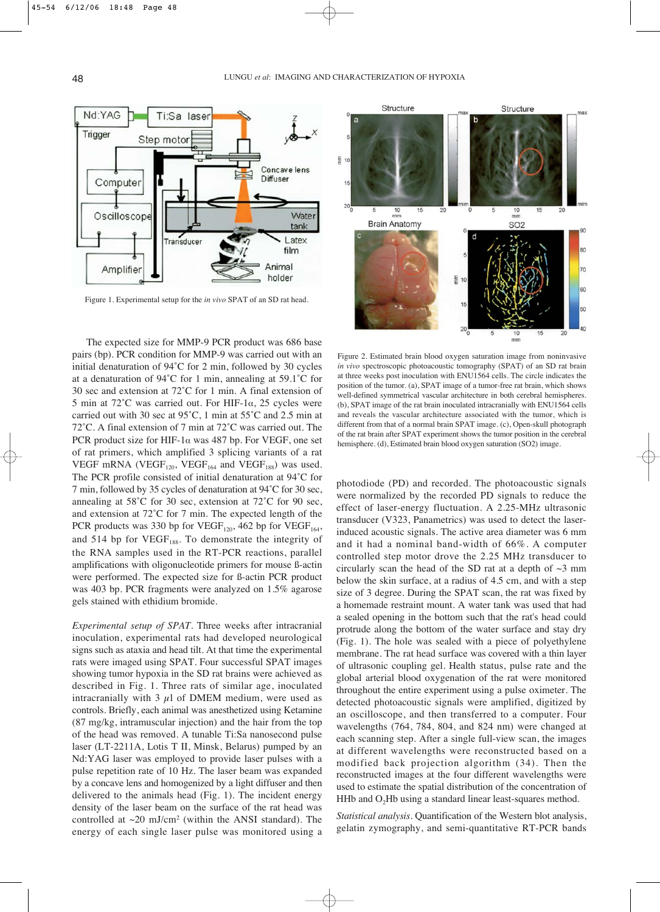

Figure 1. Experimental setup for the *in vivo* SPAT of an SD rat head.

The expected size for MMP-9 PCR product was 686 base pairs (bp). PCR condition for MMP-9 was carried out with an initial denaturation of 94˚C for 2 min, followed by 30 cycles at a denaturation of 94˚C for 1 min, annealing at 59.1˚C for 30 sec and extension at 72˚C for 1 min. A final extension of 5 min at 72°C was carried out. For HIF-1 $\alpha$ , 25 cycles were carried out with 30 sec at 95˚C, 1 min at 55˚C and 2.5 min at 72˚C. A final extension of 7 min at 72˚C was carried out. The PCR product size for HIF-1 $\alpha$  was 487 bp. For VEGF, one set of rat primers, which amplified 3 splicing variants of a rat VEGF mRNA (VEGF<sub>120</sub>, VEGF<sub>164</sub> and VEGF<sub>188</sub>) was used. The PCR profile consisted of initial denaturation at 94˚C for 7 min, followed by 35 cycles of denaturation at 94˚C for 30 sec, annealing at 58˚C for 30 sec, extension at 72˚C for 90 sec, and extension at 72˚C for 7 min. The expected length of the PCR products was 330 bp for VEGF<sub>120</sub>, 462 bp for VEGF<sub>164</sub>, and 514 bp for  $VEGF<sub>188</sub>$ . To demonstrate the integrity of the RNA samples used in the RT-PCR reactions, parallel amplifications with oligonucleotide primers for mouse ß-actin were performed. The expected size for ß-actin PCR product was 403 bp. PCR fragments were analyzed on 1.5% agarose gels stained with ethidium bromide.

*Experimental setup of SPAT.* Three weeks after intracranial inoculation, experimental rats had developed neurological signs such as ataxia and head tilt. At that time the experimental rats were imaged using SPAT. Four successful SPAT images showing tumor hypoxia in the SD rat brains were achieved as described in Fig. 1. Three rats of similar age, inoculated intracranially with 3  $\mu$ l of DMEM medium, were used as controls. Briefly, each animal was anesthetized using Ketamine (87 mg/kg, intramuscular injection) and the hair from the top of the head was removed. A tunable Ti:Sa nanosecond pulse laser (LT-2211A, Lotis T II, Minsk, Belarus) pumped by an Nd:YAG laser was employed to provide laser pulses with a pulse repetition rate of 10 Hz. The laser beam was expanded by a concave lens and homogenized by a light diffuser and then delivered to the animals head (Fig. 1). The incident energy density of the laser beam on the surface of the rat head was controlled at  $\sim$ 20 mJ/cm<sup>2</sup> (within the ANSI standard). The energy of each single laser pulse was monitored using a



Figure 2. Estimated brain blood oxygen saturation image from noninvasive *in vivo* spectroscopic photoacoustic tomography (SPAT) of an SD rat brain at three weeks post inoculation with ENU1564 cells. The circle indicates the position of the tumor. (a), SPAT image of a tumor-free rat brain, which shows well-defined symmetrical vascular architecture in both cerebral hemispheres. (b), SPAT image of the rat brain inoculated intracranially with ENU1564 cells and reveals the vascular architecture associated with the tumor, which is different from that of a normal brain SPAT image. (c), Open-skull photograph of the rat brain after SPAT experiment shows the tumor position in the cerebral hemisphere. (d), Estimated brain blood oxygen saturation (SO2) image.

photodiode (PD) and recorded. The photoacoustic signals were normalized by the recorded PD signals to reduce the effect of laser-energy fluctuation. A 2.25-MHz ultrasonic transducer (V323, Panametrics) was used to detect the laserinduced acoustic signals. The active area diameter was 6 mm and it had a nominal band-width of 66%. A computer controlled step motor drove the 2.25 MHz transducer to circularly scan the head of the SD rat at a depth of  $\sim$ 3 mm below the skin surface, at a radius of 4.5 cm, and with a step size of 3 degree. During the SPAT scan, the rat was fixed by a homemade restraint mount. A water tank was used that had a sealed opening in the bottom such that the rat's head could protrude along the bottom of the water surface and stay dry (Fig. 1). The hole was sealed with a piece of polyethylene membrane. The rat head surface was covered with a thin layer of ultrasonic coupling gel. Health status, pulse rate and the global arterial blood oxygenation of the rat were monitored throughout the entire experiment using a pulse oximeter. The detected photoacoustic signals were amplified, digitized by an oscilloscope, and then transferred to a computer. Four wavelengths (764, 784, 804, and 824 nm) were changed at each scanning step. After a single full-view scan, the images at different wavelengths were reconstructed based on a modified back projection algorithm (34). Then the reconstructed images at the four different wavelengths were used to estimate the spatial distribution of the concentration of HHb and  $O<sub>2</sub>$ Hb using a standard linear least-squares method.

*Statistical analysis.* Quantification of the Western blot analysis, gelatin zymography, and semi-quantitative RT-PCR bands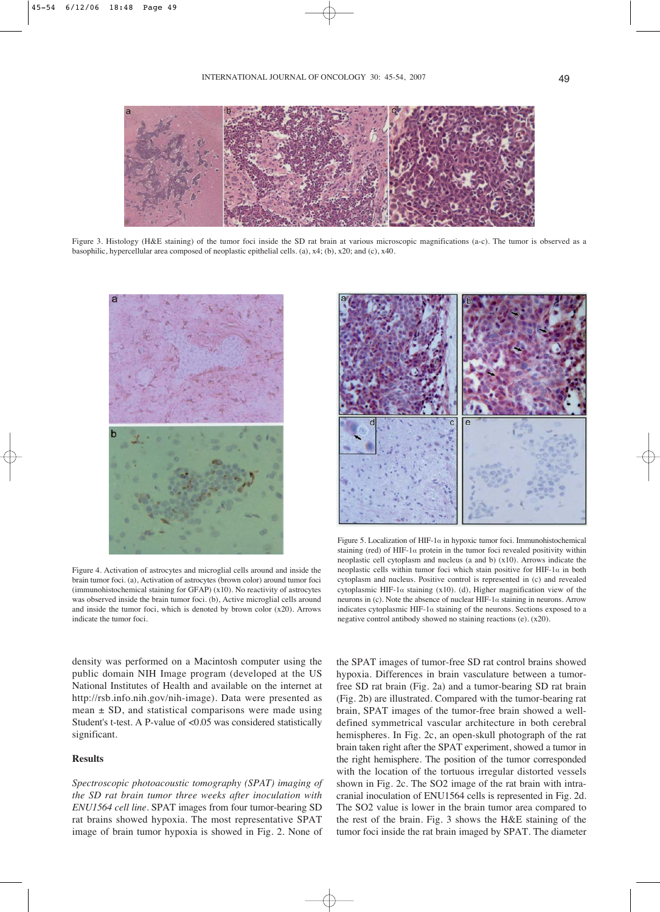

Figure 3. Histology (H&E staining) of the tumor foci inside the SD rat brain at various microscopic magnifications (a-c). The tumor is observed as a basophilic, hypercellular area composed of neoplastic epithelial cells. (a), x4; (b), x20; and (c), x40.



Figure 4. Activation of astrocytes and microglial cells around and inside the brain tumor foci. (a), Activation of astrocytes (brown color) around tumor foci (immunohistochemical staining for GFAP) (x10). No reactivity of astrocytes was observed inside the brain tumor foci. (b), Active microglial cells around and inside the tumor foci, which is denoted by brown color  $(x20)$ . Arrows indicate the tumor foci.

density was performed on a Macintosh computer using the public domain NIH Image program (developed at the US National Institutes of Health and available on the internet at http://rsb.info.nih.gov/nih-image). Data were presented as mean  $\pm$  SD, and statistical comparisons were made using Student's t-test. A P-value of <0.05 was considered statistically significant.

# **Results**

*Spectroscopic photoacoustic tomography (SPAT) imaging of the SD rat brain tumor three weeks after inoculation with ENU1564 cell line.* SPAT images from four tumor-bearing SD rat brains showed hypoxia. The most representative SPAT image of brain tumor hypoxia is showed in Fig. 2. None of



Figure 5. Localization of HIF-1 $\alpha$  in hypoxic tumor foci. Immunohistochemical staining (red) of HIF-1 $\alpha$  protein in the tumor foci revealed positivity within neoplastic cell cytoplasm and nucleus (a and b) (x10). Arrows indicate the neoplastic cells within tumor foci which stain positive for HIF-1 $\alpha$  in both cytoplasm and nucleus. Positive control is represented in (c) and revealed cytoplasmic HIF-1 $\alpha$  staining (x10). (d), Higher magnification view of the neurons in (c). Note the absence of nuclear HIF-1 $\alpha$  staining in neurons. Arrow indicates cytoplasmic HIF-1 $\alpha$  staining of the neurons. Sections exposed to a negative control antibody showed no staining reactions (e). (x20).

the SPAT images of tumor-free SD rat control brains showed hypoxia. Differences in brain vasculature between a tumorfree SD rat brain (Fig. 2a) and a tumor-bearing SD rat brain (Fig. 2b) are illustrated. Compared with the tumor-bearing rat brain, SPAT images of the tumor-free brain showed a welldefined symmetrical vascular architecture in both cerebral hemispheres. In Fig. 2c, an open-skull photograph of the rat brain taken right after the SPAT experiment, showed a tumor in the right hemisphere. The position of the tumor corresponded with the location of the tortuous irregular distorted vessels shown in Fig. 2c. The SO2 image of the rat brain with intracranial inoculation of ENU1564 cells is represented in Fig. 2d. The SO2 value is lower in the brain tumor area compared to the rest of the brain. Fig. 3 shows the H&E staining of the tumor foci inside the rat brain imaged by SPAT. The diameter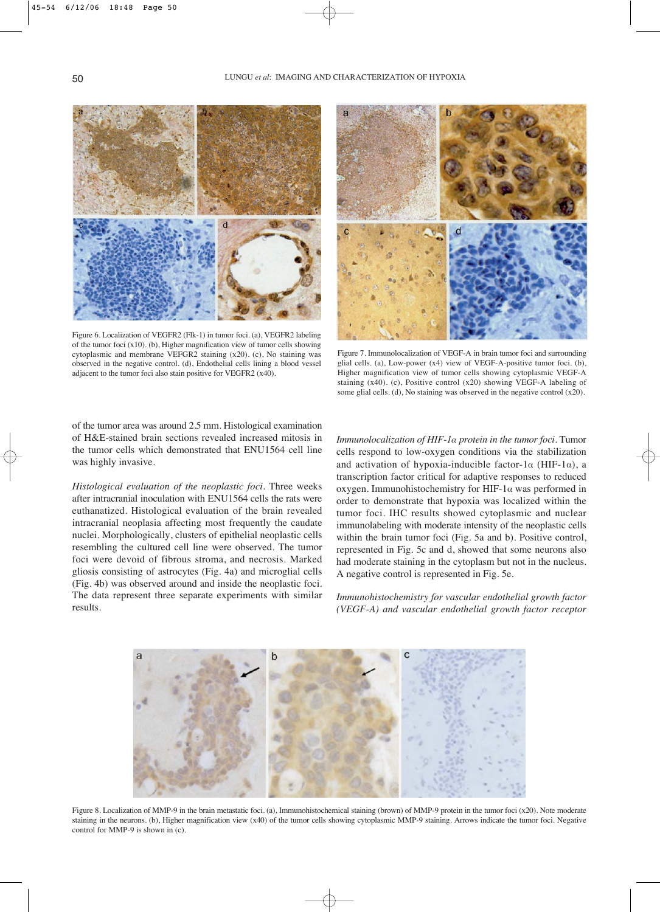

Figure 6. Localization of VEGFR2 (Flk-1) in tumor foci. (a), VEGFR2 labeling of the tumor foci (x10). (b), Higher magnification view of tumor cells showing cytoplasmic and membrane VEFGR2 staining (x20). (c), No staining was observed in the negative control. (d), Endothelial cells lining a blood vessel adjacent to the tumor foci also stain positive for VEGFR2 (x40).



Figure 7. Immunolocalization of VEGF-A in brain tumor foci and surrounding glial cells. (a), Low-power (x4) view of VEGF-A-positive tumor foci. (b), Higher magnification view of tumor cells showing cytoplasmic VEGF-A staining (x40). (c), Positive control (x20) showing VEGF-A labeling of some glial cells. (d), No staining was observed in the negative control (x20).

of the tumor area was around 2.5 mm. Histological examination of H&E-stained brain sections revealed increased mitosis in the tumor cells which demonstrated that ENU1564 cell line was highly invasive.

*Histological evaluation of the neoplastic foci.* Three weeks after intracranial inoculation with ENU1564 cells the rats were euthanatized. Histological evaluation of the brain revealed intracranial neoplasia affecting most frequently the caudate nuclei. Morphologically, clusters of epithelial neoplastic cells resembling the cultured cell line were observed. The tumor foci were devoid of fibrous stroma, and necrosis. Marked gliosis consisting of astrocytes (Fig. 4a) and microglial cells (Fig. 4b) was observed around and inside the neoplastic foci. The data represent three separate experiments with similar results.

*Immunolocalization of HIF-1· protein in the tumor foci.* Tumor cells respond to low-oxygen conditions via the stabilization and activation of hypoxia-inducible factor-1 $\alpha$  (HIF-1 $\alpha$ ), a transcription factor critical for adaptive responses to reduced oxygen. Immunohistochemistry for HIF-1 $\alpha$  was performed in order to demonstrate that hypoxia was localized within the tumor foci. IHC results showed cytoplasmic and nuclear immunolabeling with moderate intensity of the neoplastic cells within the brain tumor foci (Fig. 5a and b). Positive control, represented in Fig. 5c and d, showed that some neurons also had moderate staining in the cytoplasm but not in the nucleus. A negative control is represented in Fig. 5e.

*Immunohistochemistry for vascular endothelial growth factor (VEGF-A) and vascular endothelial growth factor receptor*



Figure 8. Localization of MMP-9 in the brain metastatic foci. (a), Immunohistochemical staining (brown) of MMP-9 protein in the tumor foci (x20). Note moderate staining in the neurons. (b), Higher magnification view (x40) of the tumor cells showing cytoplasmic MMP-9 staining. Arrows indicate the tumor foci. Negative control for MMP-9 is shown in (c).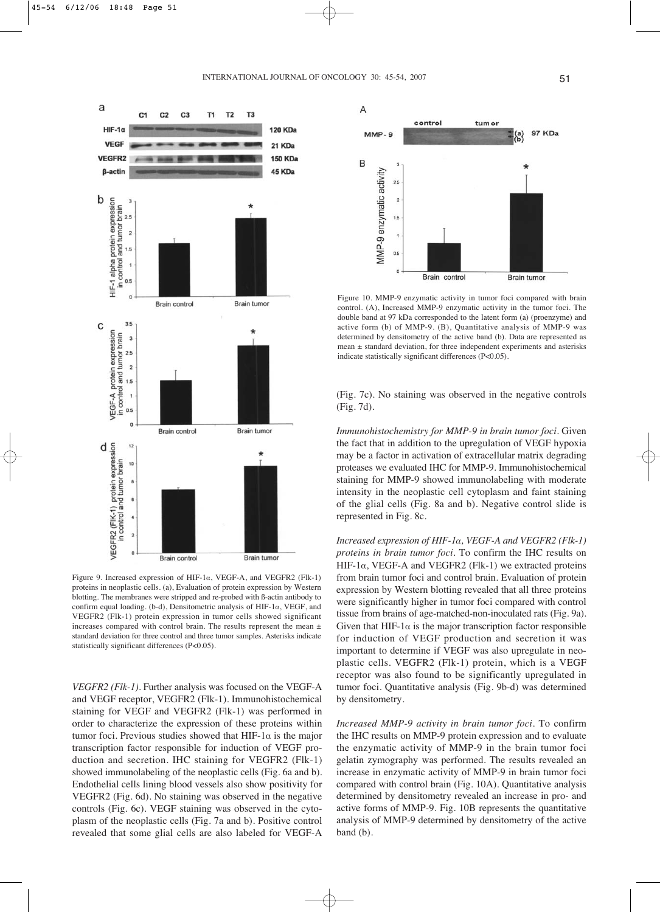

Figure 9. Increased expression of HIF-1 $\alpha$ , VEGF-A, and VEGFR2 (Flk-1) proteins in neoplastic cells. (a), Evaluation of protein expression by Western blotting. The membranes were stripped and re-probed with ß-actin antibody to confirm equal loading. (b-d), Densitometric analysis of HIF-1 $\alpha$ , VEGF, and VEGFR2 (Flk-1) protein expression in tumor cells showed significant increases compared with control brain. The results represent the mean ± standard deviation for three control and three tumor samples. Asterisks indicate statistically significant differences (P<0.05).

*VEGFR2 (Flk-1).* Further analysis was focused on the VEGF-A and VEGF receptor, VEGFR2 (Flk-1). Immunohistochemical staining for VEGF and VEGFR2 (Flk-1) was performed in order to characterize the expression of these proteins within tumor foci. Previous studies showed that HIF-1 $\alpha$  is the major transcription factor responsible for induction of VEGF production and secretion. IHC staining for VEGFR2 (Flk-1) showed immunolabeling of the neoplastic cells (Fig. 6a and b). Endothelial cells lining blood vessels also show positivity for VEGFR2 (Fig. 6d). No staining was observed in the negative controls (Fig. 6c). VEGF staining was observed in the cytoplasm of the neoplastic cells (Fig. 7a and b). Positive control revealed that some glial cells are also labeled for VEGF-A



Figure 10. MMP-9 enzymatic activity in tumor foci compared with brain control. (A), Increased MMP-9 enzymatic activity in the tumor foci. The double band at 97 kDa corresponded to the latent form (a) (proenzyme) and active form (b) of MMP-9. (B), Quantitative analysis of MMP-9 was determined by densitometry of the active band (b). Data are represented as mean ± standard deviation, for three independent experiments and asterisks indicate statistically significant differences (P<0.05).

(Fig. 7c). No staining was observed in the negative controls (Fig. 7d).

*Immunohistochemistry for MMP-9 in brain tumor foci.* Given the fact that in addition to the upregulation of VEGF hypoxia may be a factor in activation of extracellular matrix degrading proteases we evaluated IHC for MMP-9. Immunohistochemical staining for MMP-9 showed immunolabeling with moderate intensity in the neoplastic cell cytoplasm and faint staining of the glial cells (Fig. 8a and b). Negative control slide is represented in Fig. 8c.

*Increased expression of HIF-1·, VEGF-A and VEGFR2 (Flk-1) proteins in brain tumor foci.* To confirm the IHC results on HIF-1 $\alpha$ , VEGF-A and VEGFR2 (Flk-1) we extracted proteins from brain tumor foci and control brain. Evaluation of protein expression by Western blotting revealed that all three proteins were significantly higher in tumor foci compared with control tissue from brains of age-matched-non-inoculated rats (Fig. 9a). Given that HIF-1 $\alpha$  is the major transcription factor responsible for induction of VEGF production and secretion it was important to determine if VEGF was also upregulate in neoplastic cells. VEGFR2 (Flk-1) protein, which is a VEGF receptor was also found to be significantly upregulated in tumor foci. Quantitative analysis (Fig. 9b-d) was determined by densitometry.

*Increased MMP-9 activity in brain tumor foci.* To confirm the IHC results on MMP-9 protein expression and to evaluate the enzymatic activity of MMP-9 in the brain tumor foci gelatin zymography was performed. The results revealed an increase in enzymatic activity of MMP-9 in brain tumor foci compared with control brain (Fig. 10A). Quantitative analysis determined by densitometry revealed an increase in pro- and active forms of MMP-9. Fig. 10B represents the quantitative analysis of MMP-9 determined by densitometry of the active band (b).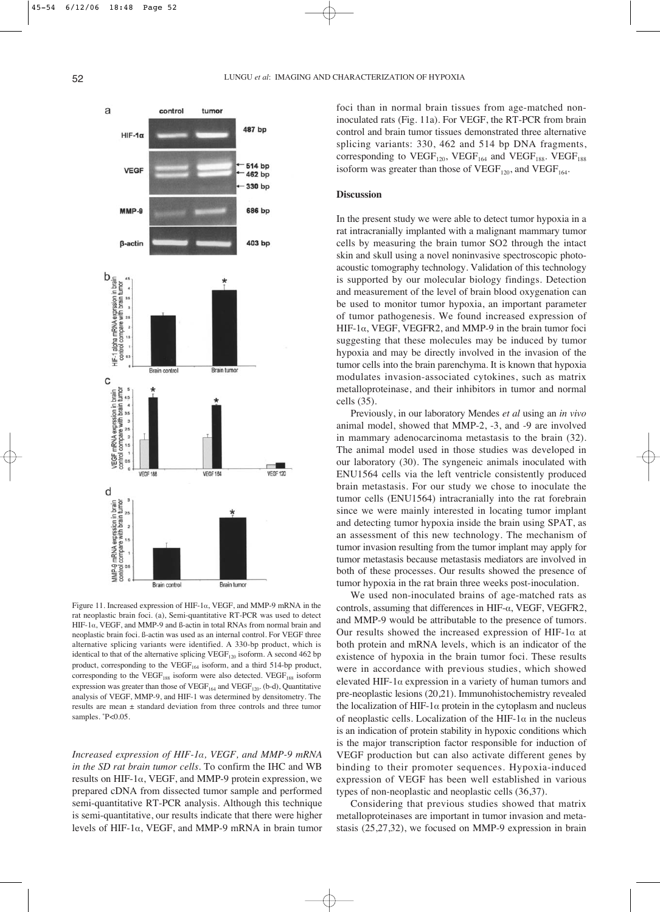

Figure 11. Increased expression of HIF-1 $\alpha$ , VEGF, and MMP-9 mRNA in the rat neoplastic brain foci. (a), Semi-quantitative RT-PCR was used to detect  $HIF-1\alpha$ , VEGF, and MMP-9 and B-actin in total RNAs from normal brain and neoplastic brain foci. ß-actin was used as an internal control. For VEGF three alternative splicing variants were identified. A 330-bp product, which is identical to that of the alternative splicing  $VEGF<sub>120</sub>$  isoform. A second 462 bp product, corresponding to the  $VEGF<sub>164</sub>$  isoform, and a third 514-bp product, corresponding to the VEGF<sub>188</sub> isoform were also detected. VEGF<sub>188</sub> isoform expression was greater than those of  $VEGF<sub>164</sub>$  and  $VEGF<sub>120</sub>$ . (b-d), Quantitative analysis of VEGF, MMP-9, and HIF-1 was determined by densitometry. The results are mean ± standard deviation from three controls and three tumor samples. \*P<0.05.

*Increased expression of HIF-1·, VEGF, and MMP-9 mRNA in the SD rat brain tumor cells.* To confirm the IHC and WB results on HIF-1 $\alpha$ , VEGF, and MMP-9 protein expression, we prepared cDNA from dissected tumor sample and performed semi-quantitative RT-PCR analysis. Although this technique is semi-quantitative, our results indicate that there were higher levels of HIF-1 $\alpha$ , VEGF, and MMP-9 mRNA in brain tumor foci than in normal brain tissues from age-matched noninoculated rats (Fig. 11a). For VEGF, the RT-PCR from brain control and brain tumor tissues demonstrated three alternative splicing variants: 330, 462 and 514 bp DNA fragments, corresponding to  $VEGF<sub>120</sub>$ ,  $VEGF<sub>164</sub>$  and  $VEGF<sub>188</sub>$ .  $VEGF<sub>188</sub>$ isoform was greater than those of  $VEGF<sub>120</sub>$ , and  $VEGF<sub>164</sub>$ .

# **Discussion**

In the present study we were able to detect tumor hypoxia in a rat intracranially implanted with a malignant mammary tumor cells by measuring the brain tumor SO2 through the intact skin and skull using a novel noninvasive spectroscopic photoacoustic tomography technology. Validation of this technology is supported by our molecular biology findings. Detection and measurement of the level of brain blood oxygenation can be used to monitor tumor hypoxia, an important parameter of tumor pathogenesis. We found increased expression of HIF-1 $\alpha$ , VEGF, VEGFR2, and MMP-9 in the brain tumor foci suggesting that these molecules may be induced by tumor hypoxia and may be directly involved in the invasion of the tumor cells into the brain parenchyma. It is known that hypoxia modulates invasion-associated cytokines, such as matrix metalloproteinase, and their inhibitors in tumor and normal cells (35).

Previously, in our laboratory Mendes *et al* using an *in vivo* animal model, showed that MMP-2, -3, and -9 are involved in mammary adenocarcinoma metastasis to the brain (32). The animal model used in those studies was developed in our laboratory (30). The syngeneic animals inoculated with ENU1564 cells via the left ventricle consistently produced brain metastasis. For our study we chose to inoculate the tumor cells (ENU1564) intracranially into the rat forebrain since we were mainly interested in locating tumor implant and detecting tumor hypoxia inside the brain using SPAT, as an assessment of this new technology. The mechanism of tumor invasion resulting from the tumor implant may apply for tumor metastasis because metastasis mediators are involved in both of these processes. Our results showed the presence of tumor hypoxia in the rat brain three weeks post-inoculation.

We used non-inoculated brains of age-matched rats as controls, assuming that differences in HIF- $\alpha$ , VEGF, VEGFR2, and MMP-9 would be attributable to the presence of tumors. Our results showed the increased expression of HIF-1 $\alpha$  at both protein and mRNA levels, which is an indicator of the existence of hypoxia in the brain tumor foci. These results were in accordance with previous studies, which showed elevated HIF-1 $\alpha$  expression in a variety of human tumors and pre-neoplastic lesions (20,21). Immunohistochemistry revealed the localization of HIF-1 $\alpha$  protein in the cytoplasm and nucleus of neoplastic cells. Localization of the HIF-1 $\alpha$  in the nucleus is an indication of protein stability in hypoxic conditions which is the major transcription factor responsible for induction of VEGF production but can also activate different genes by binding to their promoter sequences. Hypoxia-induced expression of VEGF has been well established in various types of non-neoplastic and neoplastic cells (36,37).

Considering that previous studies showed that matrix metalloproteinases are important in tumor invasion and metastasis (25,27,32), we focused on MMP-9 expression in brain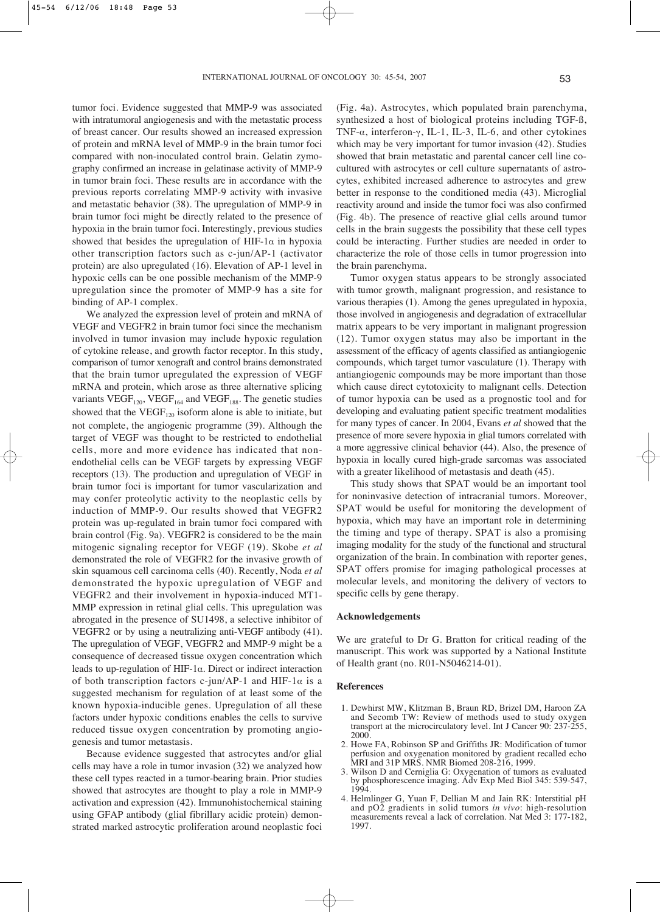tumor foci. Evidence suggested that MMP-9 was associated with intratumoral angiogenesis and with the metastatic process of breast cancer. Our results showed an increased expression of protein and mRNA level of MMP-9 in the brain tumor foci compared with non-inoculated control brain. Gelatin zymography confirmed an increase in gelatinase activity of MMP-9 in tumor brain foci. These results are in accordance with the previous reports correlating MMP-9 activity with invasive and metastatic behavior (38). The upregulation of MMP-9 in brain tumor foci might be directly related to the presence of hypoxia in the brain tumor foci. Interestingly, previous studies showed that besides the upregulation of HIF-1 $\alpha$  in hypoxia other transcription factors such as c-jun/AP-1 (activator protein) are also upregulated (16). Elevation of AP-1 level in hypoxic cells can be one possible mechanism of the MMP-9 upregulation since the promoter of MMP-9 has a site for binding of AP-1 complex.

We analyzed the expression level of protein and mRNA of VEGF and VEGFR2 in brain tumor foci since the mechanism involved in tumor invasion may include hypoxic regulation of cytokine release, and growth factor receptor. In this study, comparison of tumor xenograft and control brains demonstrated that the brain tumor upregulated the expression of VEGF mRNA and protein, which arose as three alternative splicing variants  $VEGF<sub>120</sub>$ ,  $VEGF<sub>164</sub>$  and  $VEGF<sub>188</sub>$ . The genetic studies showed that the VEGF<sub>120</sub> isoform alone is able to initiate, but not complete, the angiogenic programme (39). Although the target of VEGF was thought to be restricted to endothelial cells, more and more evidence has indicated that nonendothelial cells can be VEGF targets by expressing VEGF receptors (13). The production and upregulation of VEGF in brain tumor foci is important for tumor vascularization and may confer proteolytic activity to the neoplastic cells by induction of MMP-9. Our results showed that VEGFR2 protein was up-regulated in brain tumor foci compared with brain control (Fig. 9a). VEGFR2 is considered to be the main mitogenic signaling receptor for VEGF (19). Skobe *et al* demonstrated the role of VEGFR2 for the invasive growth of skin squamous cell carcinoma cells (40). Recently, Noda *et al* demonstrated the hypoxic upregulation of VEGF and VEGFR2 and their involvement in hypoxia-induced MT1- MMP expression in retinal glial cells. This upregulation was abrogated in the presence of SU1498, a selective inhibitor of VEGFR2 or by using a neutralizing anti-VEGF antibody (41). The upregulation of VEGF, VEGFR2 and MMP-9 might be a consequence of decreased tissue oxygen concentration which leads to up-regulation of HIF-1 $\alpha$ . Direct or indirect interaction of both transcription factors c-jun/AP-1 and HIF-1 $\alpha$  is a suggested mechanism for regulation of at least some of the known hypoxia-inducible genes. Upregulation of all these factors under hypoxic conditions enables the cells to survive reduced tissue oxygen concentration by promoting angiogenesis and tumor metastasis.

Because evidence suggested that astrocytes and/or glial cells may have a role in tumor invasion (32) we analyzed how these cell types reacted in a tumor-bearing brain. Prior studies showed that astrocytes are thought to play a role in MMP-9 activation and expression (42). Immunohistochemical staining using GFAP antibody (glial fibrillary acidic protein) demonstrated marked astrocytic proliferation around neoplastic foci (Fig. 4a). Astrocytes, which populated brain parenchyma, synthesized a host of biological proteins including TGF-ß, TNF- $\alpha$ , interferon- $\gamma$ , IL-1, IL-3, IL-6, and other cytokines which may be very important for tumor invasion (42). Studies showed that brain metastatic and parental cancer cell line cocultured with astrocytes or cell culture supernatants of astrocytes, exhibited increased adherence to astrocytes and grew better in response to the conditioned media (43). Microglial reactivity around and inside the tumor foci was also confirmed (Fig. 4b). The presence of reactive glial cells around tumor cells in the brain suggests the possibility that these cell types could be interacting. Further studies are needed in order to characterize the role of those cells in tumor progression into the brain parenchyma.

Tumor oxygen status appears to be strongly associated with tumor growth, malignant progression, and resistance to various therapies (1). Among the genes upregulated in hypoxia, those involved in angiogenesis and degradation of extracellular matrix appears to be very important in malignant progression (12). Tumor oxygen status may also be important in the assessment of the efficacy of agents classified as antiangiogenic compounds, which target tumor vasculature (1). Therapy with antiangiogenic compounds may be more important than those which cause direct cytotoxicity to malignant cells. Detection of tumor hypoxia can be used as a prognostic tool and for developing and evaluating patient specific treatment modalities for many types of cancer. In 2004, Evans *et al* showed that the presence of more severe hypoxia in glial tumors correlated with a more aggressive clinical behavior (44). Also, the presence of hypoxia in locally cured high-grade sarcomas was associated with a greater likelihood of metastasis and death (45).

This study shows that SPAT would be an important tool for noninvasive detection of intracranial tumors. Moreover, SPAT would be useful for monitoring the development of hypoxia, which may have an important role in determining the timing and type of therapy. SPAT is also a promising imaging modality for the study of the functional and structural organization of the brain. In combination with reporter genes, SPAT offers promise for imaging pathological processes at molecular levels, and monitoring the delivery of vectors to specific cells by gene therapy.

### **Acknowledgements**

We are grateful to Dr G. Bratton for critical reading of the manuscript. This work was supported by a National Institute of Health grant (no. R01-N5046214-01).

#### **References**

- 1. Dewhirst MW, Klitzman B, Braun RD, Brizel DM, Haroon ZA and Secomb TW: Review of methods used to study oxygen transport at the microcirculatory level. Int J Cancer 90: 237-255, 2000.
- 2. Howe FA, Robinson SP and Griffiths JR: Modification of tumor perfusion and oxygenation monitored by gradient recalled echo MRI and 31P MRS. NMR Biomed 208-216, 1999.
- 3. Wilson D and Cerniglia G: Oxygenation of tumors as evaluated by phosphorescence imaging. Adv Exp Med Biol 345: 539-547, 1994.
- 4. Helmlinger G, Yuan F, Dellian M and Jain RK: Interstitial pH and pO2 gradients in solid tumors *in vivo*: high-resolution measurements reveal a lack of correlation. Nat Med 3: 177-182, 1997.